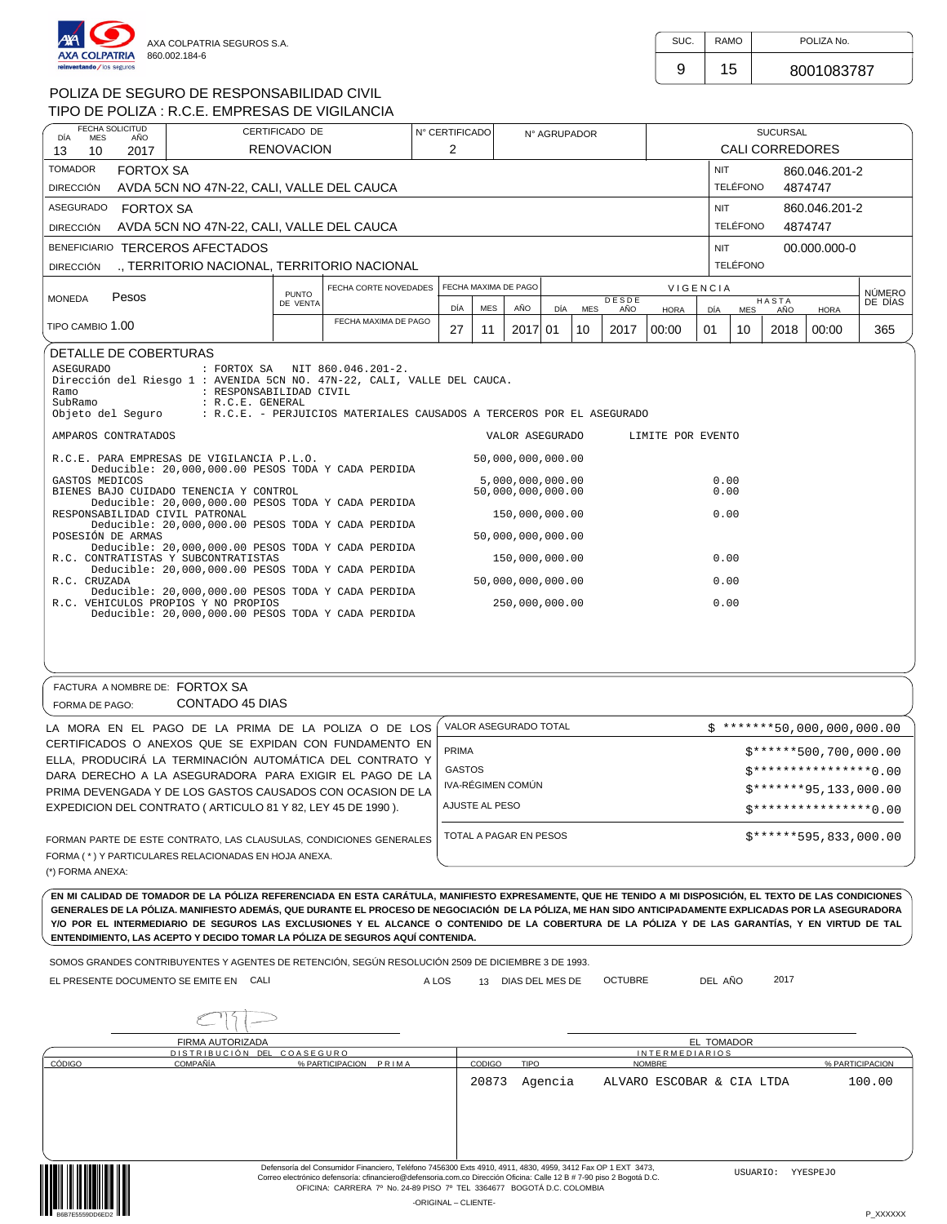

| SUC. | <b>RAMO</b> | POLIZA No. |  |
|------|-------------|------------|--|
|      | 15          | 8001083787 |  |

NÚMERO DE DÍAS

# POLIZA DE SEGURO DE RESPONSABILIDAD CIVIL

| POLIZA DE SEGURO DE RESPONSABILIDAD CIVIL                                                                                                                                          |                   |                                                                                                         |                |     |                      |              |            |              |                   |                 |                 |                        |               |               |
|------------------------------------------------------------------------------------------------------------------------------------------------------------------------------------|-------------------|---------------------------------------------------------------------------------------------------------|----------------|-----|----------------------|--------------|------------|--------------|-------------------|-----------------|-----------------|------------------------|---------------|---------------|
| TIPO DE POLIZA : R.C.E. EMPRESAS DE VIGILANCIA                                                                                                                                     |                   |                                                                                                         |                |     |                      |              |            |              |                   |                 |                 |                        |               |               |
| FECHA SOLICITUD<br><b>MES</b><br>AÑO<br>DÍA                                                                                                                                        | CERTIFICADO DE    |                                                                                                         | N° CERTIFICADO |     |                      | N° AGRUPADOR |            |              |                   |                 |                 | <b>SUCURSAL</b>        |               |               |
| 2017<br>13<br>10                                                                                                                                                                   | <b>RENOVACION</b> |                                                                                                         | 2              |     |                      |              |            |              |                   |                 |                 | <b>CALI CORREDORES</b> |               |               |
| <b>TOMADOR</b><br><b>FORTOX SA</b>                                                                                                                                                 |                   |                                                                                                         |                |     |                      |              |            |              |                   | <b>NIT</b>      |                 |                        | 860.046.201-2 |               |
| AVDA 5CN NO 47N-22, CALI, VALLE DEL CAUCA<br><b>DIRECCIÓN</b>                                                                                                                      |                   |                                                                                                         |                |     |                      |              |            |              |                   |                 | TELÉFONO        |                        | 4874747       |               |
| ASEGURADO FORTOX SA                                                                                                                                                                |                   |                                                                                                         |                |     |                      |              |            |              |                   | <b>NIT</b>      |                 |                        | 860.046.201-2 |               |
| AVDA 5CN NO 47N-22, CALI, VALLE DEL CAUCA<br><b>DIRECCIÓN</b>                                                                                                                      |                   |                                                                                                         |                |     |                      |              |            |              |                   |                 | <b>TELÉFONO</b> |                        | 4874747       |               |
| BENEFICIARIO TERCEROS AFECTADOS                                                                                                                                                    |                   |                                                                                                         |                |     |                      |              |            |              |                   | <b>NIT</b>      |                 |                        | 00.000.000-0  |               |
| ., TERRITORIO NACIONAL, TERRITORIO NACIONAL<br><b>DIRECCIÓN</b>                                                                                                                    |                   |                                                                                                         |                |     |                      |              |            |              |                   |                 | <b>TELÉFONO</b> |                        |               |               |
|                                                                                                                                                                                    | <b>PUNTO</b>      | FECHA CORTE NOVEDADES                                                                                   |                |     | FECHA MAXIMA DE PAGO |              |            |              |                   | <b>VIGENCIA</b> |                 |                        |               | <b>NÚMERO</b> |
| Pesos<br><b>MONEDA</b>                                                                                                                                                             | DE VENTA          |                                                                                                         | DÍA            | MES | AÑO                  | DÍA          | <b>MES</b> | DESDE<br>AÑO | <b>HORA</b>       | DÍA             | <b>MES</b>      | <b>HASTA</b><br>AÑO    | <b>HORA</b>   | DE DÍAS       |
| TIPO CAMBIO 1.00                                                                                                                                                                   |                   | FECHA MAXIMA DE PAGO                                                                                    | 27             | 11  | 2017 01              |              | 10         | 2017         | 00:00             | 01              | 10              | 2018                   | 00:00         | 365           |
| <b>ASEGURADO</b><br>Dirección del Riesgo 1 : AVENIDA 5CN NO. 47N-22, CALI, VALLE DEL CAUCA.<br>Ramo<br>: RESPONSABILIDAD CIVIL<br>SubRamo<br>: R.C.E. GENERAL<br>Objeto del Seguro |                   | : FORTOX SA NIT 860.046.201-2.<br>: R.C.E. - PERJUICIOS MATERIALES CAUSADOS A TERCEROS POR EL ASEGURADO |                |     |                      |              |            |              |                   |                 |                 |                        |               |               |
| AMPAROS CONTRATADOS                                                                                                                                                                |                   |                                                                                                         |                |     | VALOR ASEGURADO      |              |            |              | LIMITE POR EVENTO |                 |                 |                        |               |               |
| R.C.E. PARA EMPRESAS DE VIGILANCIA P.L.O.<br>Deducible: 20,000,000.00 PESOS TODA Y CADA PERDIDA                                                                                    |                   |                                                                                                         |                |     | 50,000,000,000.00    |              |            |              |                   |                 |                 |                        |               |               |
| GASTOS MEDICOS                                                                                                                                                                     |                   |                                                                                                         |                |     | 5,000,000,000.00     |              |            |              |                   | 0.00            |                 |                        |               |               |
| BIENES BAJO CUIDADO TENENCIA Y CONTROL<br>Deducible: 20,000,000.00 PESOS TODA Y CADA PERDIDA                                                                                       |                   |                                                                                                         |                |     | 50,000,000,000.00    |              |            |              |                   | 0.00            |                 |                        |               |               |
| RESPONSABILIDAD CIVIL PATRONAL<br>Deducible: 20,000,000.00 PESOS TODA Y CADA PERDIDA                                                                                               |                   |                                                                                                         |                |     | 150,000,000.00       |              |            |              |                   | 0.00            |                 |                        |               |               |
| POSESIÓN DE ARMAS                                                                                                                                                                  |                   |                                                                                                         |                |     | 50,000,000,000.00    |              |            |              |                   |                 |                 |                        |               |               |
| Deducible: 20,000,000.00 PESOS TODA Y CADA PERDIDA<br>R.C. CONTRATISTAS Y SUBCONTRATISTAS                                                                                          |                   |                                                                                                         |                |     | 150,000,000.00       |              |            |              |                   | 0.00            |                 |                        |               |               |
| Deducible: 20,000,000.00 PESOS TODA Y CADA PERDIDA<br>R.C. CRUZADA                                                                                                                 |                   |                                                                                                         |                |     | 50,000,000,000.00    |              |            |              |                   | 0.00            |                 |                        |               |               |
| Deducible: 20,000,000.00 PESOS TODA Y CADA PERDIDA<br>R.C. VEHICULOS PROPIOS Y NO PROPIOS                                                                                          |                   |                                                                                                         |                |     | 250,000,000.00       |              |            |              |                   | 0.00            |                 |                        |               |               |

Deducible: 20,000,000.00 PESOS TODA Y CADA PERDIDA

#### FORMA DE PAGO: CONTADO 45 DIAS FACTURA A NOMBRE DE: FORTOX SA

| LA MORA EN EL PAGO DE LA PRIMA DE LA POLIZA O DE LOS                                                               | VALOR ASEGURADO TOTAL  | $$*******50,000,000,000.00$  |
|--------------------------------------------------------------------------------------------------------------------|------------------------|------------------------------|
| CERTIFICADOS O ANEXOS QUE SE EXPIDAN CON FUNDAMENTO EN<br>ELLA, PRODUCIRÁ LA TERMINACIÓN AUTOMÁTICA DEL CONTRATO Y | <b>PRIMA</b>           | $$******500,700,000.00$      |
| DARA DERECHO A LA ASEGURADORA PARA EXIGIR EL PAGO DE LA                                                            | <b>GASTOS</b>          | $5*********************0.00$ |
| PRIMA DEVENGADA Y DE LOS GASTOS CAUSADOS CON OCASION DE LA                                                         | IVA-RÉGIMEN COMÚN      | $$*******95,133,000.00$      |
| EXPEDICION DEL CONTRATO (ARTICULO 81 Y 82, LEY 45 DE 1990).                                                        | AJUSTE AL PESO         | $5*******************0.00$   |
| FORMAN PARTE DE ESTE CONTRATO. LAS CLAUSULAS, CONDICIONES GENERALES                                                | TOTAL A PAGAR EN PESOS | $$******595,833,000.00$      |
| FORMA (*) Y PARTICULARES RELACIONADAS EN HOJA ANEXA.                                                               |                        |                              |
| $(*)$ FODMA ANEVA.                                                                                                 |                        |                              |

(\*) FORMA ANEXA:

EN MI CALIDAD DE TOMADOR DE LA PÓLIZA REFERENCIADA EN ESTA CARÁTULA, MANIFIESTO EXPRESAMENTE, QUE HE TENIDO A MI DISPOSICIÓN, EL TEXTO DE LAS CONDICIONES GENERALES DE LA PÓLIZA. MANIFIESTO ADEMÁS, QUE DURANTE EL PROCESO DE NEGOCIACIÓN DE LA PÓLIZA, ME HAN SIDO ANTICIPADAMENTE EXPLICADAS POR LA ASEGURADORA Y/O POR EL INTERMEDIARIO DE SEGUROS LAS EXCLUSIONES Y EL ALCANCE O CONTENIDO DE LA COBERTURA DE LA PÓLIZA Y DE LAS GARANTÍAS, Y EN VIRTUD DE TAL **ENTENDIMIENTO, LAS ACEPTO Y DECIDO TOMAR LA PÓLIZA DE SEGUROS AQUÍ CONTENIDA.**

SOMOS GRANDES CONTRIBUYENTES Y AGENTES DE RETENCIÓN, SEGÚN RESOLUCIÓN 2509 DE DICIEMBRE 3 DE 1993.

EL PRESENTE DOCUMENTO SE EMITE EN CALINA DEL MENORE A LOS DEL MES DE LO DE DE DEL AÑO DEL AÑO DEL AÑO DEL AÑO DEL AÑO DEL AÑO DEL AÑO DEL AÑO DEL AÑO DEL AÑO DEL AÑO DEL AÑO DEL AÑO DEL AÑO DEL AÑO DEL AÑO DEL AÑO DEL AÑO

13 DIAS DEL MES DE OCTUBRE DEL AÑO 2017

|--|

|        | FIRMA AUTORIZADA           |                       |                                                                                                                                                                                                                                                                                                               |               |             |                           | <b>EL TOMADOR</b> |                 |
|--------|----------------------------|-----------------------|---------------------------------------------------------------------------------------------------------------------------------------------------------------------------------------------------------------------------------------------------------------------------------------------------------------|---------------|-------------|---------------------------|-------------------|-----------------|
|        | DISTRIBUCIÓN DEL COASEGURO |                       |                                                                                                                                                                                                                                                                                                               |               |             | <b>INTERMEDIARIOS</b>     |                   |                 |
| CÓDIGO | <b>COMPAÑÍA</b>            | % PARTICIPACION PRIMA |                                                                                                                                                                                                                                                                                                               | <b>CODIGO</b> | <b>TIPO</b> | <b>NOMBRE</b>             |                   | % PARTICIPACION |
|        |                            |                       |                                                                                                                                                                                                                                                                                                               | 20873         | Agencia     | ALVARO ESCOBAR & CIA LTDA |                   | 100.00          |
|        |                            |                       |                                                                                                                                                                                                                                                                                                               |               |             |                           |                   |                 |
|        |                            |                       |                                                                                                                                                                                                                                                                                                               |               |             |                           |                   |                 |
|        |                            |                       |                                                                                                                                                                                                                                                                                                               |               |             |                           |                   |                 |
|        |                            |                       |                                                                                                                                                                                                                                                                                                               |               |             |                           |                   |                 |
|        |                            |                       | Defensoría del Consumidor Financiero, Teléfono 7456300 Exts 4910, 4911, 4830, 4959, 3412 Fax OP 1 EXT 3473,<br>Correo electrónico defensoría: cfinanciero@defensoria.com.co Dirección Oficina: Calle 12 B # 7-90 piso 2 Bogotá D.C.<br>OFICINA: CARRERA 7º No. 24-89 PISO 7º TEL 3364677 BOGOTÁ D.C. COLOMBIA |               |             |                           | USUARIO:          | YYESPEJO        |
|        |                            |                       | -ORIGINAL - CLIENTE-                                                                                                                                                                                                                                                                                          |               |             |                           |                   |                 |
|        |                            |                       |                                                                                                                                                                                                                                                                                                               |               |             |                           |                   | P XXXXXX        |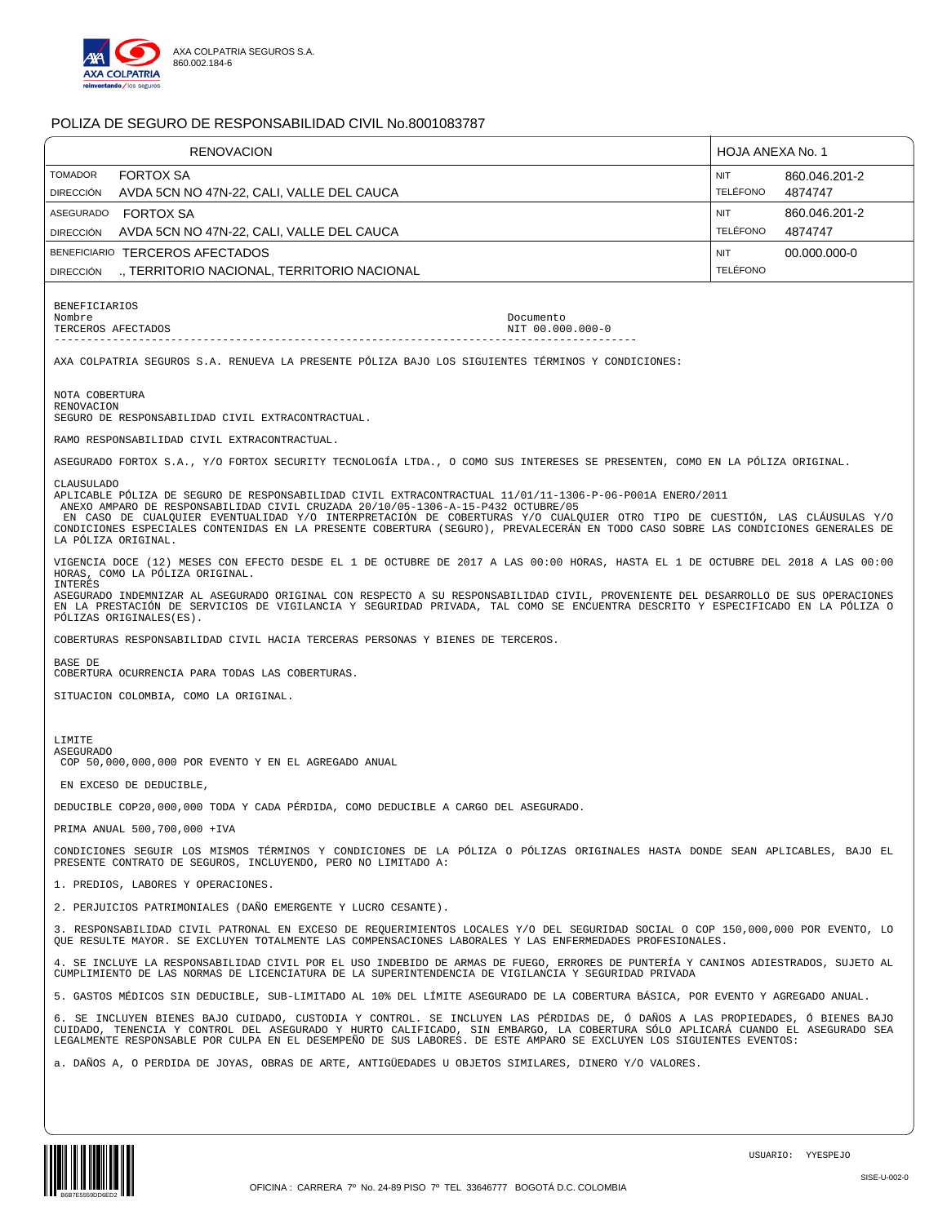

| <b>RENOVACION</b>                                                                                                                                                                                                                                                                                                                                                                                                                                                                                   |                  | HOJA ANEXA No. 1       |                          |
|-----------------------------------------------------------------------------------------------------------------------------------------------------------------------------------------------------------------------------------------------------------------------------------------------------------------------------------------------------------------------------------------------------------------------------------------------------------------------------------------------------|------------------|------------------------|--------------------------|
| <b>TOMADOR</b><br><b>FORTOX SA</b><br>AVDA 5CN NO 47N-22, CALI, VALLE DEL CAUCA<br><b>DIRECCIÓN</b>                                                                                                                                                                                                                                                                                                                                                                                                 |                  | NIT<br><b>TELÉFONO</b> | 860.046.201-2<br>4874747 |
| <b>FORTOX SA</b><br><b>ASEGURADO</b>                                                                                                                                                                                                                                                                                                                                                                                                                                                                |                  | <b>NIT</b>             | 860.046.201-2            |
| AVDA 5CN NO 47N-22, CALI, VALLE DEL CAUCA<br><b>DIRECCIÓN</b>                                                                                                                                                                                                                                                                                                                                                                                                                                       |                  | <b>TELÉFONO</b>        | 4874747                  |
| BENEFICIARIO TERCEROS AFECTADOS                                                                                                                                                                                                                                                                                                                                                                                                                                                                     |                  | NIT                    | 00.000.000-0             |
| ., TERRITORIO NACIONAL, TERRITORIO NACIONAL<br><b>DIRECCIÓN</b>                                                                                                                                                                                                                                                                                                                                                                                                                                     |                  | <b>TELÉFONO</b>        |                          |
| <b>BENEFICIARIOS</b>                                                                                                                                                                                                                                                                                                                                                                                                                                                                                |                  |                        |                          |
| Nombre<br>TERCEROS AFECTADOS                                                                                                                                                                                                                                                                                                                                                                                                                                                                        | Documento        |                        |                          |
|                                                                                                                                                                                                                                                                                                                                                                                                                                                                                                     | NIT 00.000.000-0 |                        |                          |
| AXA COLPATRIA SEGUROS S.A. RENUEVA LA PRESENTE PÓLIZA BAJO LOS SIGUIENTES TÉRMINOS Y CONDICIONES:                                                                                                                                                                                                                                                                                                                                                                                                   |                  |                        |                          |
| NOTA COBERTURA<br>RENOVACION                                                                                                                                                                                                                                                                                                                                                                                                                                                                        |                  |                        |                          |
| SEGURO DE RESPONSABILIDAD CIVIL EXTRACONTRACTUAL.                                                                                                                                                                                                                                                                                                                                                                                                                                                   |                  |                        |                          |
| RAMO RESPONSABILIDAD CIVIL EXTRACONTRACTUAL.                                                                                                                                                                                                                                                                                                                                                                                                                                                        |                  |                        |                          |
| ASEGURADO FORTOX S.A., Y/O FORTOX SECURITY TECNOLOGÍA LTDA., O COMO SUS INTERESES SE PRESENTEN, COMO EN LA PÓLIZA ORIGINAL.                                                                                                                                                                                                                                                                                                                                                                         |                  |                        |                          |
| CLAUSULADO<br>APLICABLE PÔLIZA DE SEGURO DE RESPONSABILIDAD CIVIL EXTRACONTRACTUAL 11/01/11-1306-P-06-P001A ENERO/2011<br>ANEXO AMPARO DE RESPONSABILIDAD CIVIL CRUZADA 20/10/05-1306-A-15-P432 OCTUBRE/05<br>EN CASO DE CUALQUIER EVENTUALIDAD Y/O INTERPRETACIÓN DE COBERTURAS Y/O CUALQUIER OTRO TIPO DE CUESTIÓN, LAS CLÁUSULAS Y/O<br>CONDICIONES ESPECIALES CONTENIDAS EN LA PRESENTE COBERTURA (SEGURO), PREVALECERÁN EN TODO CASO SOBRE LAS CONDICIONES GENERALES DE<br>LA PÓLIZA ORIGINAL. |                  |                        |                          |
| VIGENCIA DOCE (12) MESES CON EFECTO DESDE EL 1 DE OCTUBRE DE 2017 A LAS 00:00 HORAS, HASTA EL 1 DE OCTUBRE DEL 2018 A LAS 00:00<br>HORAS, COMO LA PÓLIZA ORIGINAL.<br>INTERÉS                                                                                                                                                                                                                                                                                                                       |                  |                        |                          |
| ASEGURADO INDEMNIZAR AL ASEGURADO ORIGINAL CON RESPECTO A SU RESPONSABILIDAD CIVIL, PROVENIENTE DEL DESARROLLO DE SUS OPERACIONES<br>EN LA PRESTACIÓN DE SERVICIOS DE VIGILANCIA Y SEGURIDAD PRIVADA, TAL COMO SE ENCUENTRA DESCRITO Y ESPECIFICADO EN LA PÓLIZA O<br>PÓLIZAS ORIGINALES(ES).                                                                                                                                                                                                       |                  |                        |                          |
| COBERTURAS RESPONSABILIDAD CIVIL HACIA TERCERAS PERSONAS Y BIENES DE TERCEROS.                                                                                                                                                                                                                                                                                                                                                                                                                      |                  |                        |                          |
| BASE DE<br>COBERTURA OCURRENCIA PARA TODAS LAS COBERTURAS.                                                                                                                                                                                                                                                                                                                                                                                                                                          |                  |                        |                          |
| SITUACION COLOMBIA, COMO LA ORIGINAL.                                                                                                                                                                                                                                                                                                                                                                                                                                                               |                  |                        |                          |
|                                                                                                                                                                                                                                                                                                                                                                                                                                                                                                     |                  |                        |                          |
| LIMITE                                                                                                                                                                                                                                                                                                                                                                                                                                                                                              |                  |                        |                          |
| ASEGURADO<br>COP 50,000,000,000 POR EVENTO Y EN EL AGREGADO ANUAL                                                                                                                                                                                                                                                                                                                                                                                                                                   |                  |                        |                          |
| EN EXCESO DE DEDUCIBLE,                                                                                                                                                                                                                                                                                                                                                                                                                                                                             |                  |                        |                          |
| DEDUCIBLE COP20,000,000 TODA Y CADA PÉRDIDA, COMO DEDUCIBLE A CARGO DEL ASEGURADO.                                                                                                                                                                                                                                                                                                                                                                                                                  |                  |                        |                          |
| PRIMA ANUAL 500,700,000 +IVA                                                                                                                                                                                                                                                                                                                                                                                                                                                                        |                  |                        |                          |
| CONDICIONES SEGUIR LOS MISMOS TÉRMINOS Y CONDICIONES DE LA PÓLIZA O PÓLIZAS ORIGINALES HASTA DONDE SEAN APLICABLES, BAJO EL<br>PRESENTE CONTRATO DE SEGUROS, INCLUYENDO, PERO NO LIMITADO A:                                                                                                                                                                                                                                                                                                        |                  |                        |                          |
| 1. PREDIOS, LABORES Y OPERACIONES.                                                                                                                                                                                                                                                                                                                                                                                                                                                                  |                  |                        |                          |
| 2. PERJUICIOS PATRIMONIALES (DAÑO EMERGENTE Y LUCRO CESANTE).                                                                                                                                                                                                                                                                                                                                                                                                                                       |                  |                        |                          |
| 3. RESPONSABILIDAD CIVIL PATRONAL EN EXCESO DE REQUERIMIENTOS LOCALES Y/O DEL SEGURIDAD SOCIAL O COP 150,000,000 POR EVENTO, LO<br>OUE RESULTE MAYOR. SE EXCLUYEN TOTALMENTE LAS COMPENSACIONES LABORALES Y LAS ENFERMEDADES PROFESIONALES.                                                                                                                                                                                                                                                         |                  |                        |                          |
| 4. SE INCLUYE LA RESPONSABILIDAD CIVIL POR EL USO INDEBIDO DE ARMAS DE FUEGO, ERRORES DE PUNTERÍA Y CANINOS ADIESTRADOS, SUJETO AL<br>CUMPLIMIENTO DE LAS NORMAS DE LICENCIATURA DE LA SUPERINTENDENCIA DE VIGILANCIA Y SEGURIDAD PRIVADA                                                                                                                                                                                                                                                           |                  |                        |                          |
| 5. GASTOS MÉDICOS SIN DEDUCIBLE, SUB-LIMITADO AL 10% DEL LÍMITE ASEGURADO DE LA COBERTURA BÁSICA, POR EVENTO Y AGREGADO ANUAL.                                                                                                                                                                                                                                                                                                                                                                      |                  |                        |                          |
| 6. SE INCLUYEN BIENES BAJO CUIDADO, CUSTODIA Y CONTROL. SE INCLUYEN LAS PÉRDIDAS DE, Ó DAÑOS A LAS PROPIEDADES, Ó BIENES BAJO<br>CUIDADO, TENENCIA Y CONTROL DEL ASEGURADO Y HURTO CALIFICADO, SIN EMBARGO, LA COBERTURA SÓLO APLICARÁ CUANDO EL ASEGURADO SEA                                                                                                                                                                                                                                      |                  |                        |                          |
| LEGALMENTE RESPONSABLE POR CULPA EN EL DESEMPEÑO DE SUS LABORES. DE ESTE AMPARO SE EXCLUYEN LOS SIGUIENTES EVENTOS:<br>a. DAÑOS A, O PERDIDA DE JOYAS, OBRAS DE ARTE, ANTIGÜEDADES U OBJETOS SIMILARES, DINERO Y/O VALORES.                                                                                                                                                                                                                                                                         |                  |                        |                          |
|                                                                                                                                                                                                                                                                                                                                                                                                                                                                                                     |                  |                        |                          |

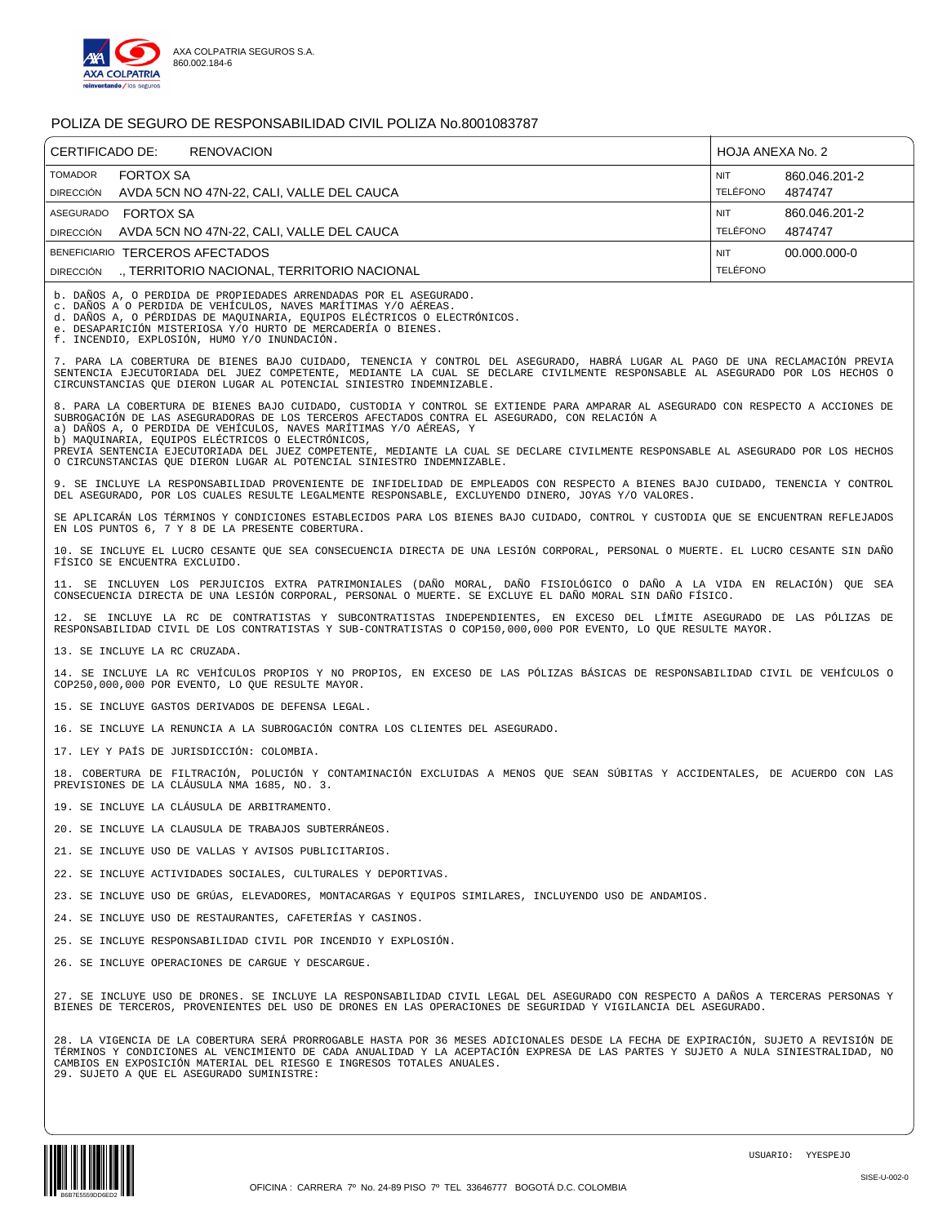

| CERTIFICADO DE:<br><b>RENOVACION</b>                                                                                                                                                                                                                                                                                                                                                                                                                                                             | HOJA ANEXA No. 2                                          |
|--------------------------------------------------------------------------------------------------------------------------------------------------------------------------------------------------------------------------------------------------------------------------------------------------------------------------------------------------------------------------------------------------------------------------------------------------------------------------------------------------|-----------------------------------------------------------|
| <b>TOMADOR</b><br><b>FORTOX SA</b><br>AVDA 5CN NO 47N-22, CALI, VALLE DEL CAUCA<br><b>DIRECCIÓN</b>                                                                                                                                                                                                                                                                                                                                                                                              | <b>NIT</b><br>860.046.201-2<br><b>TELÉFONO</b><br>4874747 |
| ASEGURADO FORTOX SA                                                                                                                                                                                                                                                                                                                                                                                                                                                                              | <b>NIT</b><br>860.046.201-2                               |
| AVDA 5CN NO 47N-22, CALI, VALLE DEL CAUCA<br><b>DIRECCIÓN</b>                                                                                                                                                                                                                                                                                                                                                                                                                                    | <b>TELÉFONO</b><br>4874747                                |
| BENEFICIARIO TERCEROS AFECTADOS                                                                                                                                                                                                                                                                                                                                                                                                                                                                  | <b>NIT</b><br>00.000.000-0                                |
| ., TERRITORIO NACIONAL, TERRITORIO NACIONAL<br><b>DIRECCIÓN</b>                                                                                                                                                                                                                                                                                                                                                                                                                                  | <b>TELÉFONO</b>                                           |
| b. DAÑOS A, O PERDIDA DE PROPIEDADES ARRENDADAS POR EL ASEGURADO.<br>c. DAÑOS A O PERDIDA DE VEHÍCULOS, NAVES MARÍTIMAS Y/O AÉREAS.<br>d. DAÑOS A, O PÉRDIDAS DE MAQUINARIA, EQUIPOS ELÉCTRICOS O ELECTRÓNICOS.<br>e. DESAPARICIÓN MISTERIOSA Y/O HURTO DE MERCADERÍA O BIENES.<br>f. INCENDIO, EXPLOSIÓN, HUMO Y/O INUNDACIÓN.                                                                                                                                                                  |                                                           |
| 7. PARA LA COBERTURA DE BIENES BAJO CUIDADO, TENENCIA Y CONTROL DEL ASEGURADO, HABRÁ LUGAR AL PAGO DE UNA RECLAMACIÓN PREVIA<br>SENTENCIA EJECUTORIADA DEL JUEZ COMPETENTE, MEDIANTE LA CUAL SE DECLARE CIVILMENTE RESPONSABLE AL ASEGURADO POR LOS HECHOS O<br>CIRCUNSTANCIAS OUE DIERON LUGAR AL POTENCIAL SINIESTRO INDEMNIZABLE.                                                                                                                                                             |                                                           |
| 8. PARA LA COBERTURA DE BIENES BAJO CUIDADO, CUSTODIA Y CONTROL SE EXTIENDE PARA AMPARAR AL ASEGURADO CON RESPECTO A ACCIONES DE<br>SUBROGACIÓN DE LAS ASEGURADORAS DE LOS TERCEROS AFECTADOS CONTRA EL ASEGURADO, CON RELACIÓN A<br>a) DAÑOS A, O PERDIDA DE VEHÍCULOS, NAVES MARÍTIMAS Y/O AÉREAS, Y<br>b) MAOUINARIA, EOUIPOS ELÉCTRICOS O ELECTRÓNICOS,<br>PREVIA SENTENCIA EJECUTORIADA DEL JUEZ COMPETENTE, MEDIANTE LA CUAL SE DECLARE CIVILMENTE RESPONSABLE AL ASEGURADO POR LOS HECHOS |                                                           |
| O CIRCUNSTANCIAS QUE DIERON LUGAR AL POTENCIAL SINIESTRO INDEMNIZABLE.                                                                                                                                                                                                                                                                                                                                                                                                                           |                                                           |
| 9. SE INCLUYE LA RESPONSABILIDAD PROVENIENTE DE INFIDELIDAD DE EMPLEADOS CON RESPECTO A BIENES BAJO CUIDADO, TENENCIA Y CONTROL<br>DEL ASEGURADO, POR LOS CUALES RESULTE LEGALMENTE RESPONSABLE, EXCLUYENDO DINERO, JOYAS Y/O VALORES.                                                                                                                                                                                                                                                           |                                                           |
| SE APLICARÁN LOS TÉRMINOS Y CONDICIONES ESTABLECIDOS PARA LOS BIENES BAJO CUIDADO, CONTROL Y CUSTODIA QUE SE ENCUENTRAN REFLEJADOS<br>EN LOS PUNTOS 6, 7 Y 8 DE LA PRESENTE COBERTURA.                                                                                                                                                                                                                                                                                                           |                                                           |
| 10. SE INCLUYE EL LUCRO CESANTE QUE SEA CONSECUENCIA DIRECTA DE UNA LESIÓN CORPORAL, PERSONAL O MUERTE. EL LUCRO CESANTE SIN DAÑO<br>FÍSICO SE ENCUENTRA EXCLUIDO.                                                                                                                                                                                                                                                                                                                               |                                                           |
| 11. SE INCLUYEN LOS PERJUICIOS EXTRA PATRIMONIALES (DAÑO MORAL, DAÑO FISIOLÓGICO O DAÑO A LA VIDA EN RELACIÓN) QUE SEA<br>CONSECUENCIA DIRECTA DE UNA LESIÓN CORPORAL, PERSONAL O MUERTE. SE EXCLUYE EL DAÑO MORAL SIN DAÑO FÍSICO.                                                                                                                                                                                                                                                              |                                                           |
| 12. SE INCLUYE LA RC DE CONTRATISTAS Y SUBCONTRATISTAS INDEPENDIENTES, EN EXCESO DEL LÍMITE ASEGURADO DE LAS PÓLIZAS DE<br>RESPONSABILIDAD CIVIL DE LOS CONTRATISTAS Y SUB-CONTRATISTAS O COP150,000,000 POR EVENTO, LO QUE RESULTE MAYOR.                                                                                                                                                                                                                                                       |                                                           |
| 13. SE INCLUYE LA RC CRUZADA.                                                                                                                                                                                                                                                                                                                                                                                                                                                                    |                                                           |
| 14. SE INCLUYE LA RC VEHÍCULOS PROPIOS Y NO PROPIOS, EN EXCESO DE LAS PÓLIZAS BÁSICAS DE RESPONSABILIDAD CIVIL DE VEHÍCULOS O<br>COP250,000,000 POR EVENTO, LO OUE RESULTE MAYOR.                                                                                                                                                                                                                                                                                                                |                                                           |
| 15. SE INCLUYE GASTOS DERIVADOS DE DEFENSA LEGAL.                                                                                                                                                                                                                                                                                                                                                                                                                                                |                                                           |
| 16. SE INCLUYE LA RENUNCIA A LA SUBROGACIÓN CONTRA LOS CLIENTES DEL ASEGURADO.                                                                                                                                                                                                                                                                                                                                                                                                                   |                                                           |
| 17. LEY Y PAÍS DE JURISDICCIÓN: COLOMBIA.                                                                                                                                                                                                                                                                                                                                                                                                                                                        |                                                           |
| 18. COBERTURA DE FILTRACIÓN, POLUCIÓN Y CONTAMINACIÓN EXCLUIDAS A MENOS QUE SEAN SÚBITAS Y ACCIDENTALES, DE ACUERDO CON LAS<br>PREVISIONES DE LA CLÁUSULA NMA 1685, NO. 3.                                                                                                                                                                                                                                                                                                                       |                                                           |
| 19. SE INCLUYE LA CLÁUSULA DE ARBITRAMENTO.                                                                                                                                                                                                                                                                                                                                                                                                                                                      |                                                           |
| 20. SE INCLUYE LA CLAUSULA DE TRABAJOS SUBTERRÁNEOS.                                                                                                                                                                                                                                                                                                                                                                                                                                             |                                                           |
| 21. SE INCLUYE USO DE VALLAS Y AVISOS PUBLICITARIOS.                                                                                                                                                                                                                                                                                                                                                                                                                                             |                                                           |
| 22. SE INCLUYE ACTIVIDADES SOCIALES, CULTURALES Y DEPORTIVAS.                                                                                                                                                                                                                                                                                                                                                                                                                                    |                                                           |
| 23. SE INCLUYE USO DE GRÚAS, ELEVADORES, MONTACARGAS Y EQUIPOS SIMILARES, INCLUYENDO USO DE ANDAMIOS.                                                                                                                                                                                                                                                                                                                                                                                            |                                                           |
| 24. SE INCLUYE USO DE RESTAURANTES, CAFETERÍAS Y CASINOS.                                                                                                                                                                                                                                                                                                                                                                                                                                        |                                                           |
| 25. SE INCLUYE RESPONSABILIDAD CIVIL POR INCENDIO Y EXPLOSIÓN.                                                                                                                                                                                                                                                                                                                                                                                                                                   |                                                           |
|                                                                                                                                                                                                                                                                                                                                                                                                                                                                                                  |                                                           |
| 26. SE INCLUYE OPERACIONES DE CARGUE Y DESCARGUE.                                                                                                                                                                                                                                                                                                                                                                                                                                                |                                                           |
| 27. SE INCLUYE USO DE DRONES. SE INCLUYE LA RESPONSABILIDAD CIVIL LEGAL DEL ASEGURADO CON RESPECTO A DAÑOS A TERCERAS PERSONAS Y<br>BIENES DE TERCEROS, PROVENIENTES DEL USO DE DRONES EN LAS OPERACIONES DE SEGURIDAD Y VIGILANCIA DEL ASEGURADO.                                                                                                                                                                                                                                               |                                                           |
| 28. LA VIGENCIA DE LA COBERTURA SERÁ PRORROGABLE HASTA POR 36 MESES ADICIONALES DESDE LA FECHA DE EXPIRACIÓN, SUJETO A REVISIÓN DE                                                                                                                                                                                                                                                                                                                                                               |                                                           |

28. LA VIGENCIA DE LA COBERTURA SERÁ PRORROGABLE HASTA POR 36 MESES ADICIONALES DESDE LA FECHA DE EXPIRACIÓN, SUJETO A REVISIÓN DE<br>TÉRMINOS Y CONDICIONES AL VENCIMIENTO DE CADA ANUALIDAD Y LA ACEPTACIÓN EXPRESA DE LAS PART

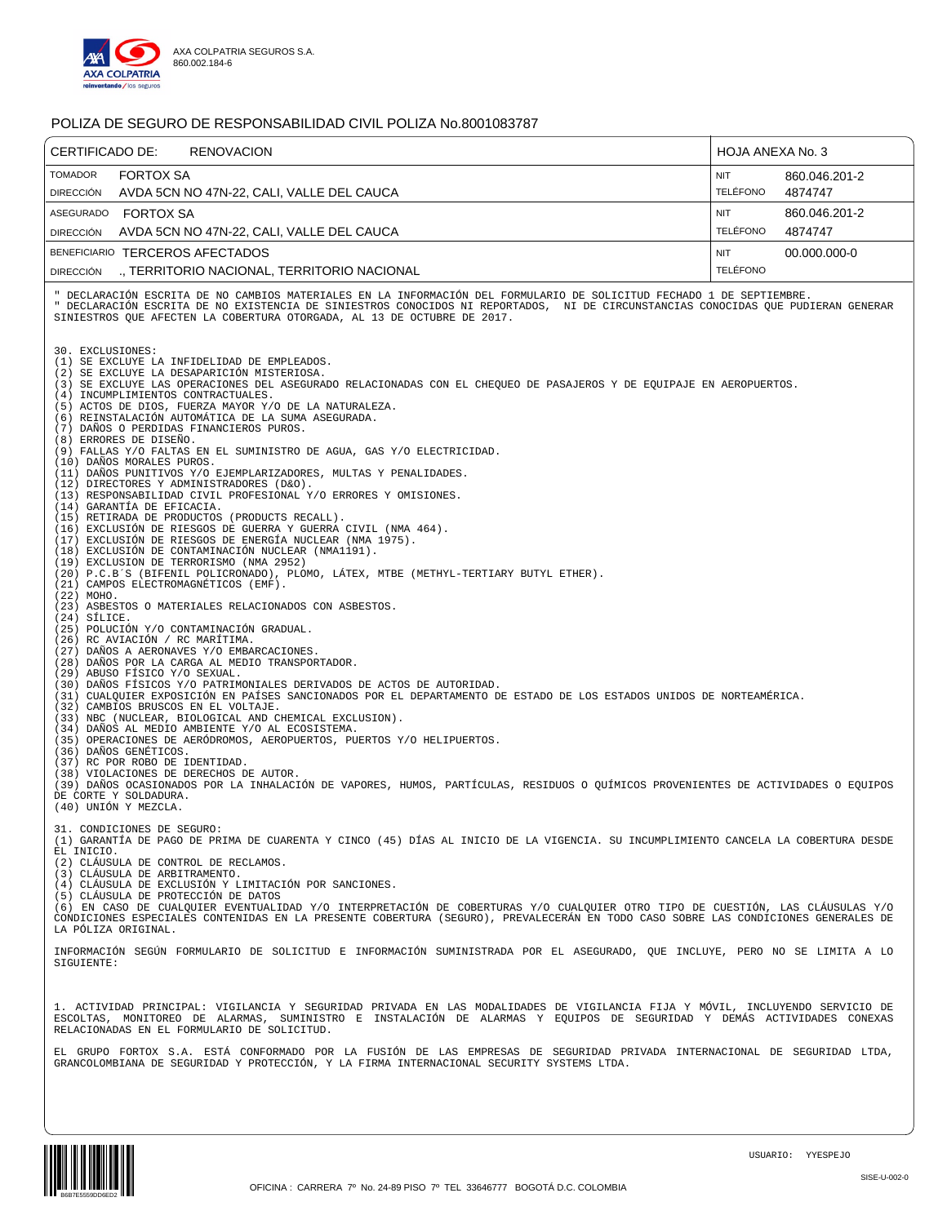

| CERTIFICADO DE:<br><b>RENOVACION</b>                                                                                                                                                                                                                                                                                                                                                                                                                                                                                                                                                                                                                                                                                                                                                                                                                                                                                                                                                                                                                                                                                                                                                                                                                                                                                                                                                                                                                                                                                                                                                                                                                                                                                                                                                                                                                                                                                                                                                                                                                                                                                                                                                                                | HOJA ANEXA No. 3              |                          |
|---------------------------------------------------------------------------------------------------------------------------------------------------------------------------------------------------------------------------------------------------------------------------------------------------------------------------------------------------------------------------------------------------------------------------------------------------------------------------------------------------------------------------------------------------------------------------------------------------------------------------------------------------------------------------------------------------------------------------------------------------------------------------------------------------------------------------------------------------------------------------------------------------------------------------------------------------------------------------------------------------------------------------------------------------------------------------------------------------------------------------------------------------------------------------------------------------------------------------------------------------------------------------------------------------------------------------------------------------------------------------------------------------------------------------------------------------------------------------------------------------------------------------------------------------------------------------------------------------------------------------------------------------------------------------------------------------------------------------------------------------------------------------------------------------------------------------------------------------------------------------------------------------------------------------------------------------------------------------------------------------------------------------------------------------------------------------------------------------------------------------------------------------------------------------------------------------------------------|-------------------------------|--------------------------|
| <b>TOMADOR</b><br><b>FORTOX SA</b><br>AVDA 5CN NO 47N-22, CALI, VALLE DEL CAUCA<br><b>DIRECCIÓN</b>                                                                                                                                                                                                                                                                                                                                                                                                                                                                                                                                                                                                                                                                                                                                                                                                                                                                                                                                                                                                                                                                                                                                                                                                                                                                                                                                                                                                                                                                                                                                                                                                                                                                                                                                                                                                                                                                                                                                                                                                                                                                                                                 | <b>NIT</b><br><b>TELÉFONO</b> | 860.046.201-2<br>4874747 |
| <b>FORTOX SA</b><br>ASEGURADO<br>AVDA 5CN NO 47N-22, CALI, VALLE DEL CAUCA<br><b>DIRECCIÓN</b>                                                                                                                                                                                                                                                                                                                                                                                                                                                                                                                                                                                                                                                                                                                                                                                                                                                                                                                                                                                                                                                                                                                                                                                                                                                                                                                                                                                                                                                                                                                                                                                                                                                                                                                                                                                                                                                                                                                                                                                                                                                                                                                      | <b>NIT</b><br><b>TELÉFONO</b> | 860.046.201-2<br>4874747 |
| BENEFICIARIO TERCEROS AFECTADOS                                                                                                                                                                                                                                                                                                                                                                                                                                                                                                                                                                                                                                                                                                                                                                                                                                                                                                                                                                                                                                                                                                                                                                                                                                                                                                                                                                                                                                                                                                                                                                                                                                                                                                                                                                                                                                                                                                                                                                                                                                                                                                                                                                                     | NIT                           | 00.000.000-0             |
| ., TERRITORIO NACIONAL, TERRITORIO NACIONAL<br><b>DIRECCIÓN</b>                                                                                                                                                                                                                                                                                                                                                                                                                                                                                                                                                                                                                                                                                                                                                                                                                                                                                                                                                                                                                                                                                                                                                                                                                                                                                                                                                                                                                                                                                                                                                                                                                                                                                                                                                                                                                                                                                                                                                                                                                                                                                                                                                     | <b>TELÉFONO</b>               |                          |
| " DECLARACIÓN ESCRITA DE NO CAMBIOS MATERIALES EN LA INFORMACIÓN DEL FORMULARIO DE SOLICITUD FECHADO 1 DE SEPTIEMBRE.<br>" DECLARACIÓN ESCRITA DE NO EXISTENCIA DE SINIESTROS CONOCIDOS NI REPORTADOS, NI DE CIRCUNSTANCIAS CONOCIDAS QUE PUDIERAN GENERAR<br>SINIESTROS QUE AFECTEN LA COBERTURA OTORGADA, AL 13 DE OCTUBRE DE 2017.<br>30. EXCLUSIONES:                                                                                                                                                                                                                                                                                                                                                                                                                                                                                                                                                                                                                                                                                                                                                                                                                                                                                                                                                                                                                                                                                                                                                                                                                                                                                                                                                                                                                                                                                                                                                                                                                                                                                                                                                                                                                                                           |                               |                          |
| (1) SE EXCLUYE LA INFIDELIDAD DE EMPLEADOS.<br>(2) SE EXCLUYE LA DESAPARICIÓN MISTERIOSA.<br>(3) SE EXCLUYE LAS OPERACIONES DEL ASEGURADO RELACIONADAS CON EL CHEQUEO DE PASAJEROS Y DE EQUIPAJE EN AEROPUERTOS.<br>(4) INCUMPLIMIENTOS CONTRACTUALES.<br>(5) ACTOS DE DIOS, FUERZA MAYOR Y/O DE LA NATURALEZA.<br>(6) REINSTALACIÓN AUTOMÁTICA DE LA SUMA ASEGURADA.<br>(7) DAÑOS O PERDIDAS FINANCIEROS PUROS.<br>(8) ERRORES DE DISEÑO.<br>(9) FALLAS Y/O FALTAS EN EL SUMINISTRO DE AGUA, GAS Y/O ELECTRICIDAD.<br>(10) DAÑOS MORALES PUROS.<br>(11) DAÑOS PUNITIVOS Y/O EJEMPLARIZADORES, MULTAS Y PENALIDADES.<br>(12) DIRECTORES Y ADMINISTRADORES (D&O).<br>(13) RESPONSABILIDAD CIVIL PROFESIONAL Y/O ERRORES Y OMISIONES.<br>(14) GARANTÍA DE EFICACIA.<br>(15) RETIRADA DE PRODUCTOS (PRODUCTS RECALL).<br>(16) EXCLUSIÓN DE RIESGOS DE GUERRA Y GUERRA CIVIL (NMA 464).<br>(17) EXCLUSIÓN DE RIESGOS DE ENERGÍA NUCLEAR (NMA 1975).<br>(18) EXCLUSIÓN DE CONTAMINACIÓN NUCLEAR (NMA1191).<br>(19) EXCLUSION DE TERRORISMO (NMA 2952)<br>(20) P.C.B'S (BIFENIL POLICRONADO), PLOMO, LÁTEX, MTBE (METHYL-TERTIARY BUTYL ETHER).<br>(21) CAMPOS ELECTROMAGNÉTICOS (EMF).<br>(22) MOHO.<br>(23) ASBESTOS O MATERIALES RELACIONADOS CON ASBESTOS.<br>$(24)$ SÍLICE.<br>(25) POLUCIÓN Y/O CONTAMINACIÓN GRADUAL.<br>(26) RC AVIACIÓN / RC MARÍTIMA.<br>(27) DAÑOS A AERONAVES Y/O EMBARCACIONES.<br>(28) DAÑOS POR LA CARGA AL MEDIO TRANSPORTADOR.<br>(29) ABUSO FÍSICO Y/O SEXUAL.<br>(30) DAÑOS FÍSICOS Y/O PATRIMONIALES DERIVADOS DE ACTOS DE AUTORIDAD.<br>(31) CUALQUIER EXPOSICIÓN EN PAÍSES SANCIONADOS POR EL DEPARTAMENTO DE ESTADO DE LOS ESTADOS UNIDOS DE NORTEAMÉRICA.<br>(32) CAMBIOS BRUSCOS EN EL VOLTAJE.<br>(33) NBC (NUCLEAR, BIOLOGICAL AND CHEMICAL EXCLUSION).<br>(34) DAÑOS AL MEDIO AMBIENTE Y/O AL ECOSISTEMA.<br>(35) OPERACIONES DE AERÓDROMOS, AEROPUERTOS, PUERTOS Y/O HELIPUERTOS.<br>(36) DAÑOS GENÉTICOS.<br>(37) RC POR ROBO DE IDENTIDAD.<br>(38) VIOLACIONES DE DERECHOS DE AUTOR.<br>(39) DAÑOS OCASIONADOS POR LA INHALACIÓN DE VAPORES, HUMOS, PARTÍCULAS, RESIDUOS O QUÍMICOS PROVENIENTES DE ACTIVIDADES O EQUIPOS<br>DE CORTE Y SOLDADURA.<br>(40) UNIÓN Y MEZCLA. |                               |                          |
| 31. CONDICIONES DE SEGURO:<br>(1) GARANTÍA DE PAGO DE PRIMA DE CUARENTA Y CINCO (45) DÍAS AL INICIO DE LA VIGENCIA. SU INCUMPLIMIENTO CANCELA LA COBERTURA DESDE<br>EL INICIO.<br>(2) CLÁUSULA DE CONTROL DE RECLAMOS.<br>(3) CLÁUSULA DE ARBITRAMENTO.<br>(4) CLÁUSULA DE EXCLUSIÓN Y LIMITACIÓN POR SANCIONES.<br>(5) CLÁUSULA DE PROTECCIÓN DE DATOS<br>(6) EN CASO DE CUALQUIER EVENTUALIDAD Y/O INTERPRETACIÓN DE COBERTURAS Y/O CUALQUIER OTRO TIPO DE CUESTIÓN, LAS CLÁUSULAS Y/O<br>CONDICIONES ESPECIALES CONTENIDAS EN LA PRESENTE COBERTURA (SEGURO), PREVALECERÁN EN TODO CASO SOBRE LAS CONDICIONES GENERALES DE<br>LA PÓLIZA ORIGINAL.                                                                                                                                                                                                                                                                                                                                                                                                                                                                                                                                                                                                                                                                                                                                                                                                                                                                                                                                                                                                                                                                                                                                                                                                                                                                                                                                                                                                                                                                                                                                                                |                               |                          |
| INFORMACIÓN SEGÚN FORMULARIO DE SOLICITUD E INFORMACIÓN SUMINISTRADA POR EL ASEGURADO, QUE INCLUYE, PERO NO SE LIMITA A LO<br>SIGUIENTE:                                                                                                                                                                                                                                                                                                                                                                                                                                                                                                                                                                                                                                                                                                                                                                                                                                                                                                                                                                                                                                                                                                                                                                                                                                                                                                                                                                                                                                                                                                                                                                                                                                                                                                                                                                                                                                                                                                                                                                                                                                                                            |                               |                          |
| 1. ACTIVIDAD PRINCIPAL: VIGILANCIA Y SEGURIDAD PRIVADA EN LAS MODALIDADES DE VIGILANCIA FIJA Y MÓVIL, INCLUYENDO SERVICIO DE<br>ESCOLTAS, MONITOREO DE ALARMAS, SUMINISTRO E INSTALACIÓN DE ALARMAS Y EQUIPOS DE SEGURIDAD Y DEMÁS ACTIVIDADES CONEXAS<br>RELACIONADAS EN EL FORMULARIO DE SOLICITUD.                                                                                                                                                                                                                                                                                                                                                                                                                                                                                                                                                                                                                                                                                                                                                                                                                                                                                                                                                                                                                                                                                                                                                                                                                                                                                                                                                                                                                                                                                                                                                                                                                                                                                                                                                                                                                                                                                                               |                               |                          |
| EL GRUPO FORTOX S.A. ESTÁ CONFORMADO POR LA FUSIÓN DE LAS EMPRESAS DE SEGURIDAD PRIVADA INTERNACIONAL DE SEGURIDAD LTDA,<br>GRANCOLOMBIANA DE SEGURIDAD Y PROTECCIÓN, Y LA FIRMA INTERNACIONAL SECURITY SYSTEMS LTDA.                                                                                                                                                                                                                                                                                                                                                                                                                                                                                                                                                                                                                                                                                                                                                                                                                                                                                                                                                                                                                                                                                                                                                                                                                                                                                                                                                                                                                                                                                                                                                                                                                                                                                                                                                                                                                                                                                                                                                                                               |                               |                          |

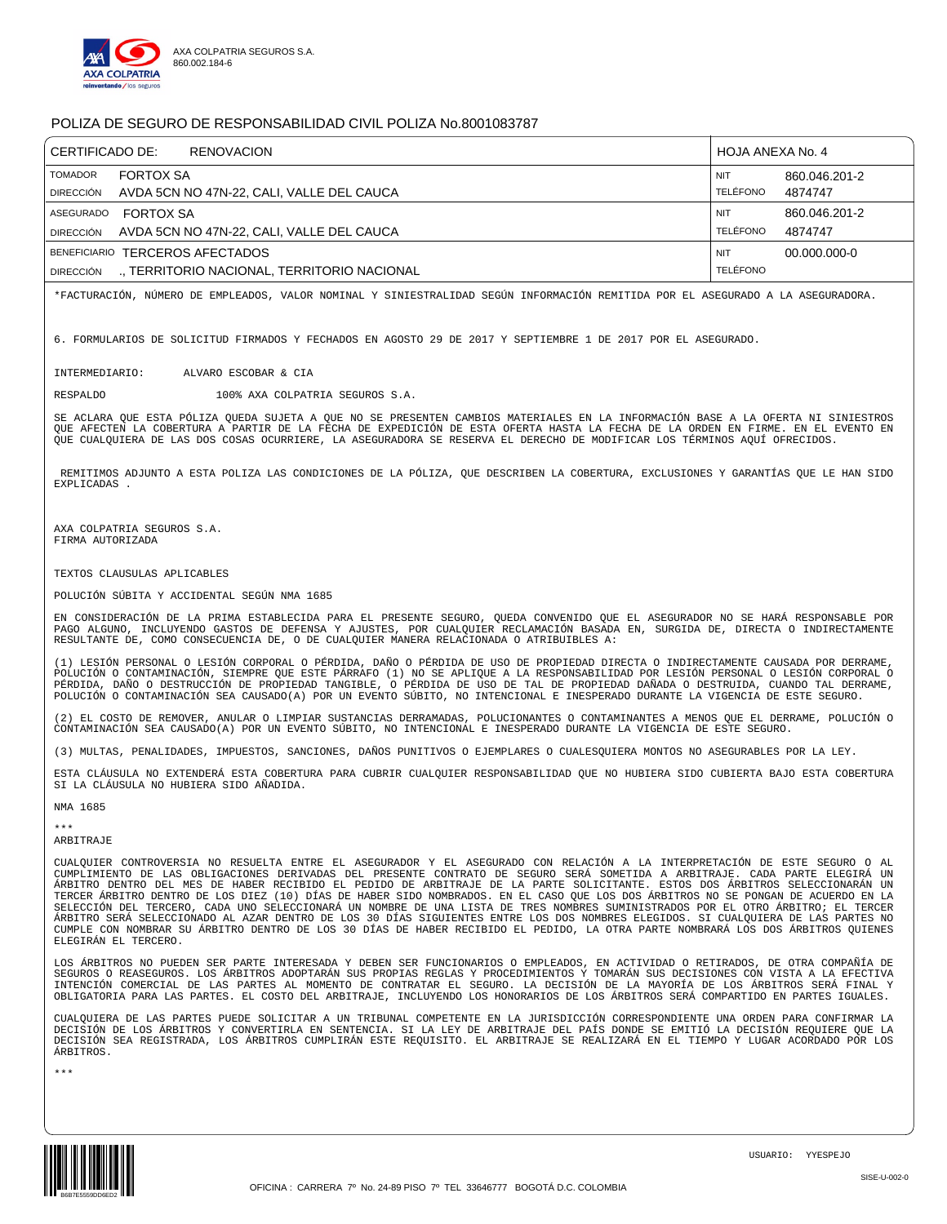

| CERTIFICADO DE:                    | <b>RENOVACION</b>                                             | HOJA ANEXA No. 4       |                          |
|------------------------------------|---------------------------------------------------------------|------------------------|--------------------------|
| <b>TOMADOR</b><br><b>DIRECCIÓN</b> | <b>FORTOX SA</b><br>AVDA 5CN NO 47N-22. CALI. VALLE DEL CAUCA | <b>NIT</b><br>TELÉFONO | 860.046.201-2<br>4874747 |
| ASEGURADO                          | <b>FORTOX SA</b>                                              | <b>NIT</b>             | 860.046.201-2            |
| <b>DIRECCIÓN</b>                   | AVDA 5CN NO 47N-22, CALI, VALLE DEL CAUCA                     | TELÉFONO               | 4874747                  |
|                                    | BENEFICIARIO TERCEROS AFECTADOS                               | <b>NIT</b>             | 00.000.000-0             |
| <b>DIRECCIÓN</b>                   | ., TERRITORIO NACIONAL, TERRITORIO NACIONAL                   | <b>TELÉFONO</b>        |                          |

\*FACTURACIÓN, NÚMERO DE EMPLEADOS, VALOR NOMINAL Y SINIESTRALIDAD SEGÚN INFORMACIÓN REMITIDA POR EL ASEGURADO A LA ASEGURADORA.

6. FORMULARIOS DE SOLICITUD FIRMADOS Y FECHADOS EN AGOSTO 29 DE 2017 Y SEPTIEMBRE 1 DE 2017 POR EL ASEGURADO.

INTERMEDIARIO: ALVARO ESCOBAR & CIA

RESPALDO 100% AXA COLPATRIA SEGUROS S.A.

SE ACLARA QUE ESTA PÓLIZA QUEDA SUJETA A QUE NO SE PRESENTEN CAMBIOS MATERIALES EN LA INFORMACIÓN BASE A LA OFERTA NI SINIESTROS QUE AFECTEN LA COBERTURA A PARTIR DE LA FECHA DE EXPEDICIÓN DE ESTA OFERTA HASTA LA FECHA DE LA ORDEN EN FIRME. EN EL EVENTO EN QUE CUALQUIERA DE LAS DOS COSAS OCURRIERE, LA ASEGURADORA SE RESERVA EL DERECHO DE MODIFICAR LOS TÉRMINOS AQUÍ OFRECIDOS.

REMITIMOS ADJUNTO A ESTA POLIZA LAS CONDICIONES DE LA PÓLIZA, QUE DESCRIBEN LA COBERTURA, EXCLUSIONES Y GARANTÍAS QUE LE HAN SIDO EXPLICADAS .

AXA COLPATRIA SEGUROS S.A. FIRMA AUTORIZADA

TEXTOS CLAUSULAS APLICABLES

POLUCIÓN SÚBITA Y ACCIDENTAL SEGÚN NMA 1685

EN CONSIDERACIÓN DE LA PRIMA ESTABLECIDA PARA EL PRESENTE SEGURO, QUEDA CONVENIDO QUE EL ASEGURADOR NO SE HARÁ RESPONSABLE POR PAGO ALGUNO, INCLUYENDO GASTOS DE DEFENSA Y AJUSTES, POR CUALQUIER RECLAMACIÓN BASADA EN, SURGIDA DE, DIRECTA O INDIRECTAMENTE RESULTANTE DE, COMO CONSECUENCIA DE, O DE CUALQUIER MANERA RELACIONADA O ATRIBUIBLES A:

(1) LESIÓN PERSONAL O LESIÓN CORPORAL O PÉRDIDA, DAÑO O PÉRDIDA DE USO DE PROPIEDAD DIRECTA O INDIRECTAMENTE CAUSADA POR DERRAME,<br>POLUCIÓN O CONTAMINACIÓN, SIEMPRE QUE ESTE PÁRRAFO (1) NO SE APLIQUE A LA RESPONSABILIDAD PO PÉRDIDA, DAÑO O DESTRUCCIÓN DE PROPIEDAD TANGIBLE, O PÉRDIDA DE USO DE TAL DE PROPIEDAD DAÑADA O DESTRUIDA, CUANDO TAL DERRAME, POLUCIÓN O CONTAMINACIÓN SEA CAUSADO(A) POR UN EVENTO SÚBITO, NO INTENCIONAL E INESPERADO DURANTE LA VIGENCIA DE ESTE SEGURO.

(2) EL COSTO DE REMOVER, ANULAR O LIMPIAR SUSTANCIAS DERRAMADAS, POLUCIONANTES O CONTAMINANTES A MENOS QUE EL DERRAME, POLUCIÓN O CONTAMINACIÓN SEA CAUSADO(A) POR UN EVENTO SÚBITO, NO INTENCIONAL E INESPERADO DURANTE LA VIGENCIA DE ESTE SEGURO.

(3) MULTAS, PENALIDADES, IMPUESTOS, SANCIONES, DAÑOS PUNITIVOS O EJEMPLARES O CUALESQUIERA MONTOS NO ASEGURABLES POR LA LEY.

ESTA CLÁUSULA NO EXTENDERÁ ESTA COBERTURA PARA CUBRIR CUALQUIER RESPONSABILIDAD QUE NO HUBIERA SIDO CUBIERTA BAJO ESTA COBERTURA SI LA CLÁUSULA NO HUBIERA SIDO AÑADIDA.

NMA 1685

\*\*\* ARBITRAJE

CUALQUIER CONTROVERSIA NO RESUELTA ENTRE EL ASEGURADOR Y EL ASEGURADO CON RELACIÓN A LA INTERPRETACIÓN DE ESTE SEGURO O AL CUMPLIMIENTO DE LAS OBLIGACIONES DERIVADAS DEL PRESENTE CONTRATO DE SEGURO SERÁ SOMETIDA A ARBITRAJE. CADA PARTE ELEGIRÁ UN ÁRBITRO DENTRO DEL MES DE HABER RECIBIDO EL PEDIDO DE ARBITRAJE DE LA PARTE SOLICITANTE. ESTOS DOS ÁRBITROS SELECCIONARÁN UN TERCER ÁRBITRO DENTRO DE LOS DIEZ (10) DÍAS DE HABER SIDO NOMBRADOS. EN EL CASO QUE LOS DOS ÁRBITROS NO SE PONGAN DE ACUERDO EN LA SELECCIÓN DEL TERCERO, CADA UNO SELECCIONARÁ UN NOMBRE DE UNA LISTA DE TRES NOMBRES SUMINISTRADOS POR EL OTRO ÁRBITRO; EL TERCER<br>ÁRBITRO SERÁ SELECCIONADO AL AZAR DENTRO DE LOS 30 DÍAS SIGUIENTES ENTRE LOS DOS NOMBRES ELEG CUMPLE CON NOMBRAR SU ÁRBITRO DENTRO DE LOS 30 DÍAS DE HABER RECIBIDO EL PEDIDO, LA OTRA PARTE NOMBRARÁ LOS DOS ÁRBITROS QUIENES ELEGIRÁN EL TERCERO.

LOS ÁRBITROS NO PUEDEN SER PARTE INTERESADA Y DEBEN SER FUNCIONARIOS O EMPLEADOS, EN ACTIVIDAD O RETIRADOS, DE OTRA COMPAÑÍA DE<br>SEGUROS O REASEGUROS. LOS ÁRBITROS ADOPTARÁN SUS PROPIAS REGLAS Y PROCEDIMIENTOS Y TOMARÁN SUS OBLIGATORIA PARA LAS PARTES. EL COSTO DEL ARBITRAJE, INCLUYENDO LOS HONORARIOS DE LOS ÁRBITROS SERÁ COMPARTIDO EN PARTES IGUALES.

CUALQUIERA DE LAS PARTES PUEDE SOLICITAR A UN TRIBUNAL COMPETENTE EN LA JURISDICCIÓN CORRESPONDIENTE UNA ORDEN PARA CONFIRMAR LA<br>DECISIÓN DE LOS ÁRBITROS Y CONVERTIRLA EN SENTENCIA. SI LA LEY DE ARBITRAJE DEL PAÍS DONDE SE ÁRBITROS.

\*\*\*

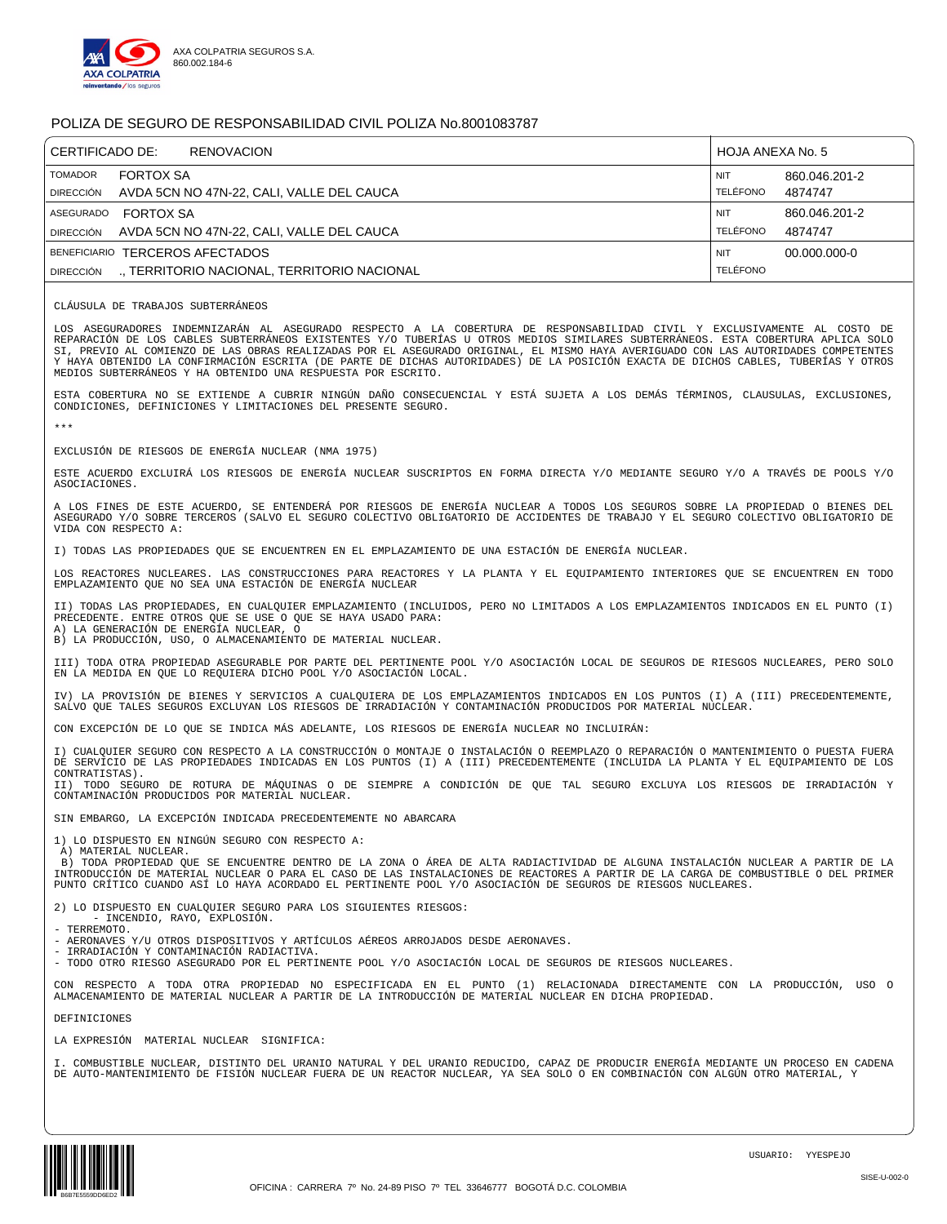

| CERTIFICADO DE:<br>RENOVACION               | HOJA ANEXA No. 5 |
|---------------------------------------------|------------------|
| <b>TOMADOR</b>                              | <b>NIT</b>       |
| <b>FORTOX SA</b>                            | 860.046.201-2    |
| AVDA 5CN NO 47N-22, CALI, VALLE DEL CAUCA   | TELÉFONO         |
| <b>DIRECCIÓN</b>                            | 4874747          |
| <b>FORTOX SA</b>                            | 860.046.201-2    |
| ASEGURADO                                   | <b>NIT</b>       |
| AVDA 5CN NO 47N-22, CALI, VALLE DEL CAUCA   | TELÉFONO         |
| <b>DIRECCIÓN</b>                            | 4874747          |
| BENEFICIARIO TERCEROS AFECTADOS             | 00.000.000-0     |
| ., TERRITORIO NACIONAL, TERRITORIO NACIONAL | <b>NIT</b>       |
| <b>DIRECCIÓN</b>                            | <b>TELÉFONO</b>  |

CLÁUSULA DE TRABAJOS SUBTERRÁNEOS

LOS ASEGURADORES INDEMNIZARÁN AL ASEGURADO RESPECTO A LA COBERTURA DE RESPONSABILIDAD CIVIL Y EXCLUSIVAMENTE AL COSTO DE<br>REPARACIÓN DE LOS CABLES SUBTERRÁNEOS EXISTENTES Y/O TUBERÍAS U OTROS MEDIOS SIMILARES SUBTERRÁNEOS. SI, PREVIO AL COMIENZO DE LAS OBRAS REALIZADAS POR EL ASEGURADO ORIGINAL, EL MISMO HAYA AVERIGUADO CON LAS AUTORIDADES COMPETENTES<br>Y HAYA OBTENIDO LA CONFIRMACIÓN ESCRITA (DE PARTE DE DICHAS AUTORIDADES) DE LA POSICIÓN EXA MEDIOS SUBTERRÁNEOS Y HA OBTENIDO UNA RESPUESTA POR ESCRITO.

ESTA COBERTURA NO SE EXTIENDE A CUBRIR NINGÚN DAÑO CONSECUENCIAL Y ESTÁ SUJETA A LOS DEMÁS TÉRMINOS, CLAUSULAS, EXCLUSIONES, CONDICIONES, DEFINICIONES Y LIMITACIONES DEL PRESENTE SEGURO.

\*\*\*

EXCLUSIÓN DE RIESGOS DE ENERGÍA NUCLEAR (NMA 1975)

ESTE ACUERDO EXCLUIRÁ LOS RIESGOS DE ENERGÍA NUCLEAR SUSCRIPTOS EN FORMA DIRECTA Y/O MEDIANTE SEGURO Y/O A TRAVÉS DE POOLS Y/O ASOCIACIONES.

A LOS FINES DE ESTE ACUERDO, SE ENTENDERÁ POR RIESGOS DE ENERGÍA NUCLEAR A TODOS LOS SEGUROS SOBRE LA PROPIEDAD O BIENES DEL ASEGURADO Y/O SOBRE TERCEROS (SALVO EL SEGURO COLECTIVO OBLIGATORIO DE ACCIDENTES DE TRABAJO Y EL SEGURO COLECTIVO OBLIGATORIO DE VIDA CON RESPECTO A:

I) TODAS LAS PROPIEDADES QUE SE ENCUENTREN EN EL EMPLAZAMIENTO DE UNA ESTACIÓN DE ENERGÍA NUCLEAR.

LOS REACTORES NUCLEARES. LAS CONSTRUCCIONES PARA REACTORES Y LA PLANTA Y EL EQUIPAMIENTO INTERIORES QUE SE ENCUENTREN EN TODO<br>EMPLAZAMIENTO QUE NO SEA UNA ESTACIÓN DE ENERGÍA NUCLEAR

II) TODAS LAS PROPIEDADES, EN CUALQUIER EMPLAZAMIENTO (INCLUIDOS, PERO NO LIMITADOS A LOS EMPLAZAMIENTOS INDICADOS EN EL PUNTO (I) PRECEDENTE. ENTRE OTROS QUE SE USE O QUE SE HAYA USADO PARA: A) LA GENERACIÓN DE ENERGÍA NUCLEAR, O

B) LA PRODUCCIÓN, USO, O ALMACENAMIENTO DE MATERIAL NUCLEAR.

III) TODA OTRA PROPIEDAD ASEGURABLE POR PARTE DEL PERTINENTE POOL Y/O ASOCIACIÓN LOCAL DE SEGUROS DE RIESGOS NUCLEARES, PERO SOLO EN LA MEDIDA EN QUE LO REQUIERA DICHO POOL Y/O ASOCIACIÓN LOCAL.

IV) LA PROVISIÓN DE BIENES Y SERVICIOS A CUALQUIERA DE LOS EMPLAZAMIENTOS INDICADOS EN LOS PUNTOS (I) A (III) PRECEDENTEMENTE, SALVO QUE TALES SEGUROS EXCLUYAN LOS RIESGOS DE IRRADIACIÓN Y CONTAMINACIÓN PRODUCIDOS POR MATERIAL NUCLEAR.

CON EXCEPCIÓN DE LO QUE SE INDICA MÁS ADELANTE, LOS RIESGOS DE ENERGÍA NUCLEAR NO INCLUIRÁN:

I) CUALQUIER SEGURO CON RESPECTO A LA CONSTRUCCIÓN O MONTAJE O INSTALACIÓN O REEMPLAZO O REPARACIÓN O MANTENIMIENTO O PUESTA FUERA DE SERVICIO DE LAS PROPIEDADES INDICADAS EN LOS PUNTOS (I) A (III) PRECEDENTEMENTE (INCLUIDA LA PLANTA Y EL EQUIPAMIENTO DE LOS CONTRATISTAS).

II) TODO SEGURO DE ROTURA DE MÁQUINAS O DE SIEMPRE A CONDICIÓN DE QUE TAL SEGURO EXCLUYA LOS RIESGOS DE IRRADIACIÓN Y CONTAMINACIÓN PRODUCIDOS POR MATERIAL NUCLEAR.

SIN EMBARGO, LA EXCEPCIÓN INDICADA PRECEDENTEMENTE NO ABARCARA

1) LO DISPUESTO EN NINGÚN SEGURO CON RESPECTO A: A) MATERIAL NUCLEAR.

B) TODA PROPIEDAD QUE SE ENCUENTRE DENTRO DE LA ZONA O ÁREA DE ALTA RADIACTIVIDAD DE ALGUNA INSTALACIÓN NUCLEAR A PARTIR DE LA INTRODUCCIÓN DE MATERIAL NUCLEAR O PARA EL CASO DE LAS INSTALACIONES DE REACTORES A PARTIR DE LA CARGA DE COMBUSTIBLE O DEL PRIMER PUNTO CRÍTICO CUANDO ASÍ LO HAYA ACORDADO EL PERTINENTE POOL Y/O ASOCIACIÓN DE SEGUROS DE RIESGOS NUCLEARES.

2) LO DISPUESTO EN CUALQUIER SEGURO PARA LOS SIGUIENTES RIESGOS:

- INCENDIO, RAYO, EXPLOSIÓN.

- TERREMOTO.

- AERONAVES Y/U OTROS DISPOSITIVOS Y ARTÍCULOS AÉREOS ARROJADOS DESDE AERONAVES. - IRRADIACIÓN Y CONTAMINACIÓN RADIACTIVA.

- TODO OTRO RIESGO ASEGURADO POR EL PERTINENTE POOL Y/O ASOCIACIÓN LOCAL DE SEGUROS DE RIESGOS NUCLEARES.

CON RESPECTO A TODA OTRA PROPIEDAD NO ESPECIFICADA EN EL PUNTO (1) RELACIONADA DIRECTAMENTE CON LA PRODUCCIÓN, USO O ALMACENAMIENTO DE MATERIAL NUCLEAR A PARTIR DE LA INTRODUCCIÓN DE MATERIAL NUCLEAR EN DICHA PROPIEDAD.

DEFINICIONES

LA EXPRESIÓN MATERIAL NUCLEAR SIGNIFICA:

I. COMBUSTIBLE NUCLEAR, DISTINTO DEL URANIO NATURAL Y DEL URANIO REDUCIDO, CAPAZ DE PRODUCIR ENERGÍA MEDIANTE UN PROCESO EN CADENA DE AUTO-MANTENIMIENTO DE FISIÓN NUCLEAR FUERA DE UN REACTOR NUCLEAR, YA SEA SOLO O EN COMBINACIÓN CON ALGÚN OTRO MATERIAL, Y

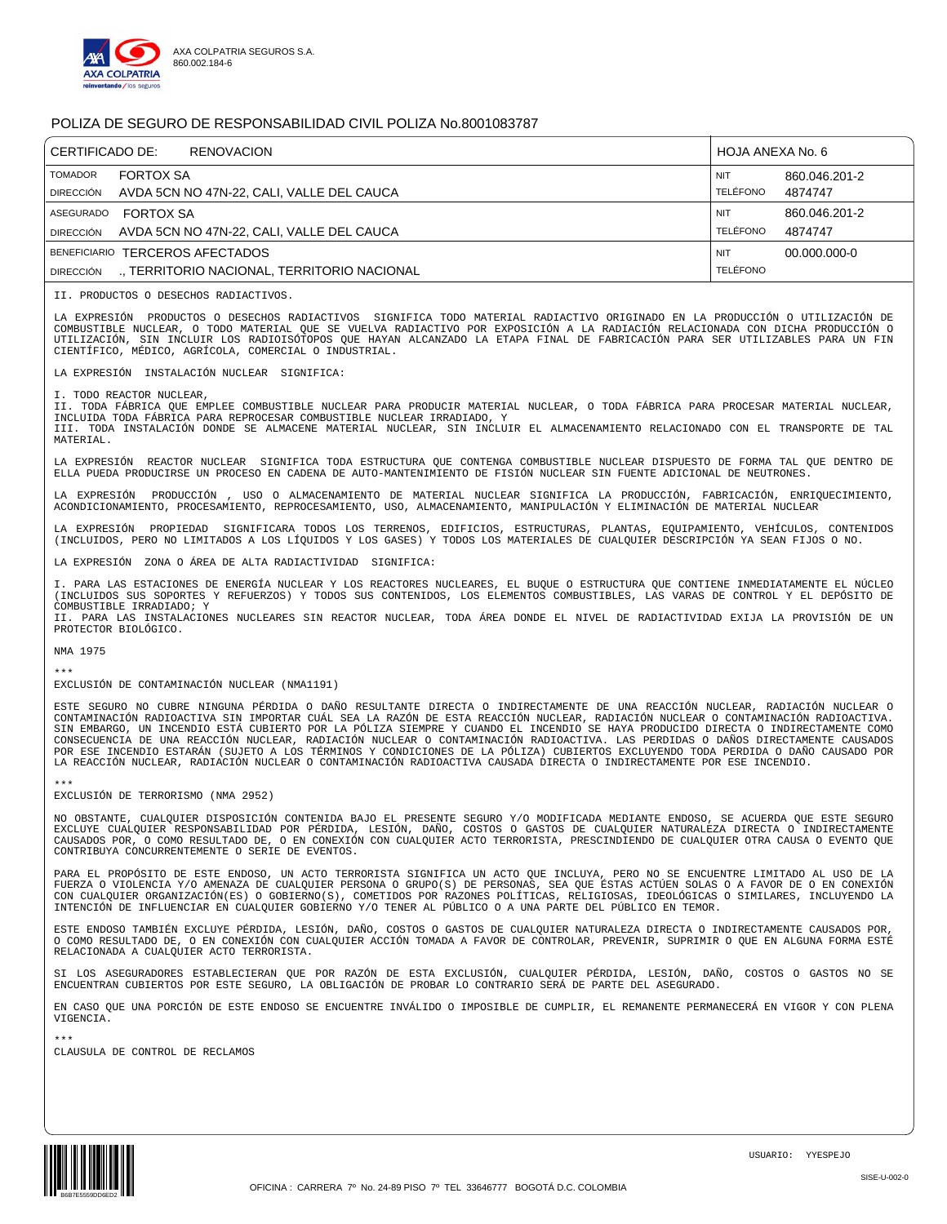

| CERTIFICADO DE:               | <b>RENOVACION</b>                                             | HOJA ANEXA No. 6              |                          |
|-------------------------------|---------------------------------------------------------------|-------------------------------|--------------------------|
| <b>TOMADOR</b><br>DIRECCIÓN   | <b>FORTOX SA</b><br>AVDA 5CN NO 47N-22, CALI, VALLE DEL CAUCA | <b>NIT</b><br><b>TELÉFONO</b> | 860.046.201-2<br>4874747 |
| ASEGURADO<br><b>DIRECCIÓN</b> | <b>FORTOX SA</b><br>AVDA 5CN NO 47N-22, CALI, VALLE DEL CAUCA | <b>NIT</b><br><b>TELÉFONO</b> | 860.046.201-2<br>4874747 |
|                               | BENEFICIARIO TERCEROS AFECTADOS                               | <b>NIT</b>                    | 00.000.000-0             |
| <b>DIRECCIÓN</b>              | ., TERRITORIO NACIONAL, TERRITORIO NACIONAL                   | <b>TELÉFONO</b>               |                          |

II. PRODUCTOS O DESECHOS RADIACTIVOS.

LA EXPRESIÓN PRODUCTOS O DESECHOS RADIACTIVOS SIGNIFICA TODO MATERIAL RADIACTIVO ORIGINADO EN LA PRODUCCIÓN O UTILIZACIÓN DE COMBUSTIBLE NUCLEAR, O TODO MATERIAL QUE SE VUELVA RADIACTIVO POR EXPOSICIÓN A LA RADIACIÓN RELACIONADA CON DICHA PRODUCCIÓN O<br>UTILIZACIÓN, SIN INCLUIR LOS RADIOISÓTOPOS QUE HAYAN ALCANZADO LA ETAPA FINAL DE FABRICACIÓN PA CIENTÍFICO, MÉDICO, AGRÍCOLA, COMERCIAL O INDUSTRIAL.

LA EXPRESIÓN INSTALACIÓN NUCLEAR SIGNIFICA:

I. TODO REACTOR NUCLEAR,

II. TODA FÁBRICA QUE EMPLEE COMBUSTIBLE NUCLEAR PARA PRODUCIR MATERIAL NUCLEAR, O TODA FÁBRICA PARA PROCESAR MATERIAL NUCLEAR,<br>INCLUIDA TODA FÁBRICA PARA REPROCESAR COMBUSTIBLE NUCLEAR IRRADIADO, Y III. TODA INSTALACIÓN DONDE SE ALMACENE MATERIAL NUCLEAR, SIN INCLUIR EL ALMACENAMIENTO RELACIONADO CON EL TRANSPORTE DE TAL MATERIAL.

LA EXPRESIÓN REACTOR NUCLEAR SIGNIFICA TODA ESTRUCTURA QUE CONTENGA COMBUSTIBLE NUCLEAR DISPUESTO DE FORMA TAL QUE DENTRO DE ELLA PUEDA PRODUCIRSE UN PROCESO EN CADENA DE AUTO-MANTENIMIENTO DE FISIÓN NUCLEAR SIN FUENTE ADICIONAL DE NEUTRONES.

LA EXPRESIÓN PRODUCCIÓN , USO O ALMACENAMIENTO DE MATERIAL NUCLEAR SIGNIFICA LA PRODUCCIÓN, FABRICACIÓN, ENRIQUECIMIENTO,<br>ACONDICIONAMIENTO, PROCESAMIENTO, REPROCESAMIENTO, USO, ALMACENAMIENTO, MANIPULACIÓN Y ELIMINACIÓN

LA EXPRESIÓN PROPIEDAD SIGNIFICARA TODOS LOS TERRENOS, EDIFICIOS, ESTRUCTURAS, PLANTAS, EQUIPAMIENTO, VEHÍCULOS, CONTENIDOS <br>(INCLUIDOS, PERO NO LIMITADOS A LOS LÍQUIDOS Y LOS GASES) Y TODOS LOS MATERIALES DE CUALQUIER

LA EXPRESIÓN ZONA O ÁREA DE ALTA RADIACTIVIDAD SIGNIFICA:

I. PARA LAS ESTACIONES DE ENERGÍA NUCLEAR Y LOS REACTORES NUCLEARES, EL BUQUE O ESTRUCTURA QUE CONTIENE INMEDIATAMENTE EL NÚCLEO (INCLUIDOS SUS SOPORTES Y REFUERZOS) Y TODOS SUS CONTENIDOS, LOS ELEMENTOS COMBUSTIBLES, LAS VARAS DE CONTROL Y EL DEPÓSITO DE COMBUSTIBLE IRRADIADO; Y II. PARA LAS INSTALACIONES NUCLEARES SIN REACTOR NUCLEAR, TODA ÁREA DONDE EL NIVEL DE RADIACTIVIDAD EXIJA LA PROVISIÓN DE UN PROTECTOR BIOLÓGICO.

NMA 1975

\*\*\* EXCLUSIÓN DE CONTAMINACIÓN NUCLEAR (NMA1191)

ESTE SEGURO NO CUBRE NINGUNA PÉRDIDA O DAÑO RESULTANTE DIRECTA O INDIRECTAMENTE DE UNA REACCIÓN NUCLEAR, RADIACIÓN NUCLEAR O CONTAMINACIÓN RADIOACTIVA SIN IMPORTAR CUÁL SEA LA RAZÓN DE ESTA REACCIÓN NUCLEAR, RADIACIÓN NUCLEAR O CONTAMINACIÓN RADIOACTIVA. SIN EMBARGO, UN INCENDIO ESTÁ CUBIERTO POR LA PÓLIZA SIEMPRE Y CUANDO EL INCENDIO SE HAYA PRODUCIDO DIRECTA O INDIRECTAMENTE COMO CONSECUENCIA DE UNA REACCIÓN NUCLEAR, RADIACIÓN NUCLEAR O CONTAMINACIÓN RADIOACTIVA. LAS PERDIDAS O DAÑOS DIRECTAMENTE CAUSADOS<br>POR ESE INCENDIO ESTARÁN (SUJETO A LOS TÉRMINOS Y CONDICIONES DE LA PÓLIZA) CUBIERTOS EXCLUYEN LA REACCIÓN NUCLEAR, RADIACIÓN NUCLEAR O CONTAMINACIÓN RADIOACTIVA CAUSADA DIRECTA O INDIRECTAMENTE POR ESE INCENDIO.

\*\*\* EXCLUSIÓN DE TERRORISMO (NMA 2952)

NO OBSTANTE, CUALQUIER DISPOSICIÓN CONTENIDA BAJO EL PRESENTE SEGURO Y/O MODIFICADA MEDIANTE ENDOSO, SE ACUERDA QUE ESTE SEGURO<br>EXCLUYE CUALQUIER RESPONSABILIDAD POR PÉRDIDA, LESIÓN, DAÑO, COSTOS O GASTOS DE CUALQUIER NATU CONTRIBUYA CONCURRENTEMENTE O SERIE DE EVENTOS.

PARA EL PROPÓSITO DE ESTE ENDOSO, UN ACTO TERRORISTA SIGNIFICA UN ACTO QUE INCLUYA, PERO NO SE ENCUENTRE LIMITADO AL USO DE LA FUERZA O VIOLENCIA Y/O AMENAZA DE CUALQUIER PERSONA O GRUPO(S) DE PERSONAS, SEA QUE ÉSTAS ACTÚEN SOLAS O A FAVOR DE O EN CONEXIÓN<br>CON CUALQUIER ORGANIZACIÓN(ES) O GOBIERNO(S), COMETIDOS POR RAZONES POLÍTICAS, RELIGIOSAS, I INTENCIÓN DE INFLUENCIAR EN CUALQUIER GOBIERNO Y/O TENER AL PÚBLICO O A UNA PARTE DEL PÚBLICO EN TEMOR.

ESTE ENDOSO TAMBIÉN EXCLUYE PÉRDIDA, LESIÓN, DAÑO, COSTOS O GASTOS DE CUALQUIER NATURALEZA DIRECTA O INDIRECTAMENTE CAUSADOS POR, O COMO RESULTADO DE, O EN CONEXIÓN CON CUALQUIER ACCIÓN TOMADA A FAVOR DE CONTROLAR, PREVENIR, SUPRIMIR O QUE EN ALGUNA FORMA ESTÉ<br>RELACIONADA A CUALQUIER ACTO TERRORISTA.

SI LOS ASEGURADORES ESTABLECIERAN QUE POR RAZÓN DE ESTA EXCLUSIÓN, CUALQUIER PÉRDIDA, LESIÓN, DAÑO, COSTOS O GASTOS NO SE ENCUENTRAN CUBIERTOS POR ESTE SEGURO, LA OBLIGACIÓN DE PROBAR LO CONTRARIO SERÁ DE PARTE DEL ASEGURADO.

EN CASO QUE UNA PORCIÓN DE ESTE ENDOSO SE ENCUENTRE INVÁLIDO O IMPOSIBLE DE CUMPLIR, EL REMANENTE PERMANECERÁ EN VIGOR Y CON PLENA VIGENCIA.

\*\*\* CLAUSULA DE CONTROL DE RECLAMOS

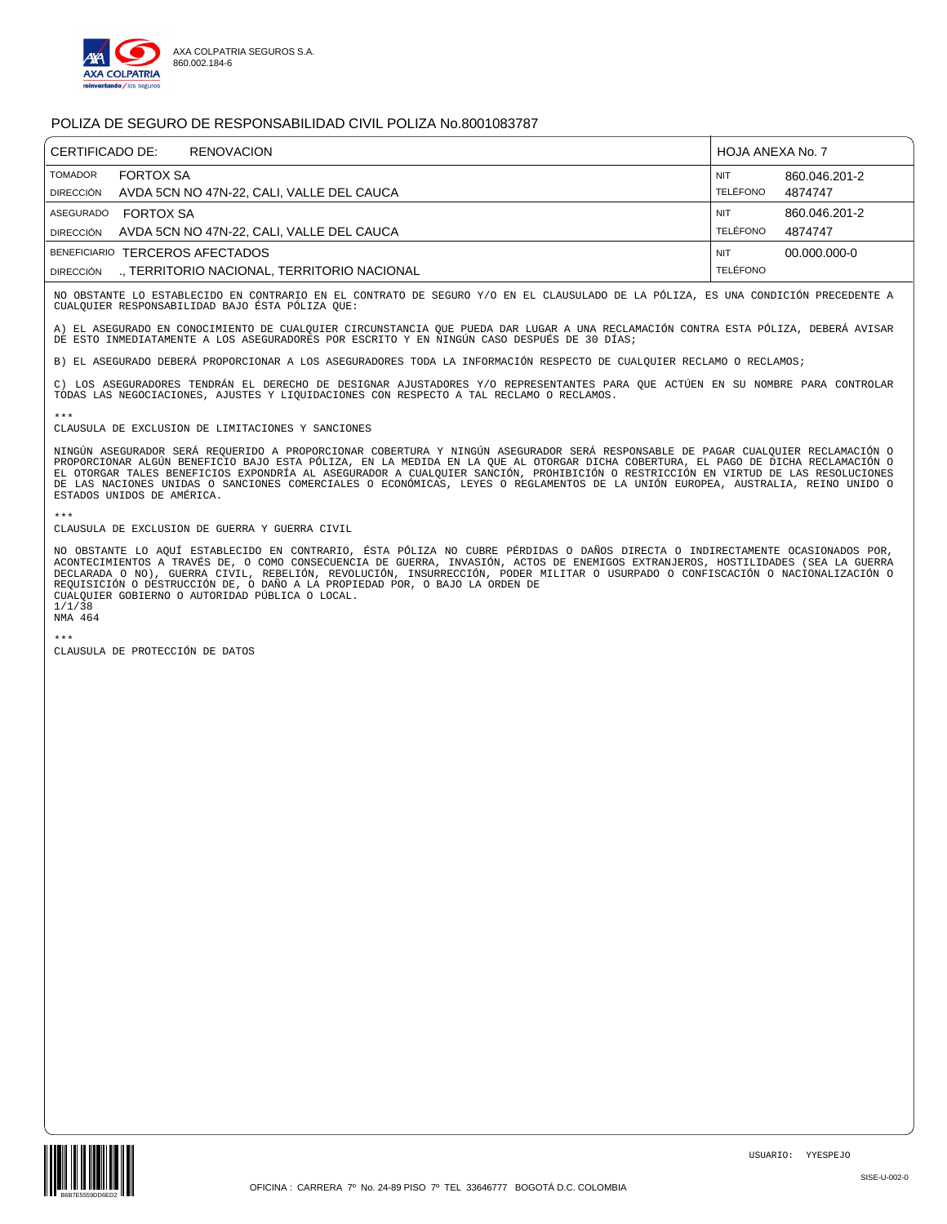

| CERTIFICADO DE:<br><b>RENOVACION</b> |                                                               | HOJA ANEXA No. 7       |                          |
|--------------------------------------|---------------------------------------------------------------|------------------------|--------------------------|
| TOMADOR<br>DIRECCIÓN                 | <b>FORTOX SA</b><br>AVDA 5CN NO 47N-22, CALI, VALLE DEL CAUCA | <b>NIT</b><br>TELÉFONO | 860.046.201-2<br>4874747 |
| <b>ASEGURADO</b>                     | <b>FORTOX SA</b>                                              | <b>NIT</b>             | 860.046.201-2            |
| DIRECCIÓN                            | AVDA 5CN NO 47N-22, CALI, VALLE DEL CAUCA                     | <b>TELÉFONO</b>        | 4874747                  |
|                                      | BENEFICIARIO TERCEROS AFECTADOS                               | <b>NIT</b>             | 00.000.000-0             |
| <b>DIRECCIÓN</b>                     | ., TERRITORIO NACIONAL, TERRITORIO NACIONAL                   | <b>TELÉFONO</b>        |                          |

NO OBSTANTE LO ESTABLECIDO EN CONTRARIO EN EL CONTRATO DE SEGURO Y/O EN EL CLAUSULADO DE LA PÓLIZA, ES UNA CONDICIÓN PRECEDENTE A CUALQUIER RESPONSABILIDAD BAJO ÉSTA PÓLIZA QUE:

A) EL ASEGURADO EN CONOCIMIENTO DE CUALQUIER CIRCUNSTANCIA QUE PUEDA DAR LUGAR A UNA RECLAMACIÓN CONTRA ESTA PÓLIZA, DEBERÁ AVISAR<br>DE ESTO INMEDIATAMENTE A LOS ASEGURADORES POR ESCRITO Y EN NINGÚN CASO DESPUÉS DE 30 DÍAS;

B) EL ASEGURADO DEBERÁ PROPORCIONAR A LOS ASEGURADORES TODA LA INFORMACIÓN RESPECTO DE CUALQUIER RECLAMO O RECLAMOS;

C) LOS ASEGURADORES TENDRÁN EL DERECHO DE DESIGNAR AJUSTADORES Y/O REPRESENTANTES PARA QUE ACTÚEN EN SU NOMBRE PARA CONTROLAR TODAS LAS NEGOCIACIONES, AJUSTES Y LIQUIDACIONES CON RESPECTO A TAL RECLAMO O RECLAMOS.

## \*\*\* CLAUSULA DE EXCLUSION DE LIMITACIONES Y SANCIONES

NINGÚN ASEGURADOR SERÁ REQUERIDO A PROPORCIONAR COBERTURA Y NINGÚN ASEGURADOR SERÁ RESPONSABLE DE PAGAR CUALQUIER RECLAMACIÓN O PROPORCIONAR ALGÚN BENEFICIO BAJO ESTA PÓLIZA, EN LA MEDIDA EN LA QUE AL OTORGAR DICHA COBERTURA, EL PAGO DE DICHA RECLAMACIÓN O<br>EL OTORGAR TALES BENEFICIOS EXPONDRÍA AL ASEGURADOR A CUALQUIER SANCIÓN, PROHIBICIÓN O RESTRI DE LAS NACIONES UNIDAS O SANCIONES COMERCIALES O ECONÓMICAS, LEYES O REGLAMENTOS DE LA UNIÓN EUROPEA, AUSTRALIA, REINO UNIDO O ESTADOS UNIDOS DE AMÉRICA.

\*\*\* CLAUSULA DE EXCLUSION DE GUERRA Y GUERRA CIVIL

NO OBSTANTE LO AQUÍ ESTABLECIDO EN CONTRARIO, ÉSTA PÓLIZA NO CUBRE PÉRDIDAS O DAÑOS DIRECTA O INDIRECTAMENTE OCASIONADOS POR,<br>ACONTECIMIENTOS A TRAVÉS DE, O COMO CONSECUENCIA DE GUERRA, INVASIÓN, ACTOS DE ENEMIGOS EXTRANJE DECLARADA O NO), GUERRA CIVIL, REBELIÓN, REVOLUCIÓN, INSURRECCIÓN, PODER MILITAR O USURPADO O CONFISCACIÓN O NACIONALIZACIÓN O<br>REQUISICIÓN O DESTRUCCIÓN DE, O DAÑO A LA PROPIEDAD POR, O BAJO LA ORDEN DE CUALQUIER GOBIERNO O AUTORIDAD PÚBLICA O LOCAL.

1/1/38

NMA 464

\*\*\* CLAUSULA DE PROTECCIÓN DE DATOS